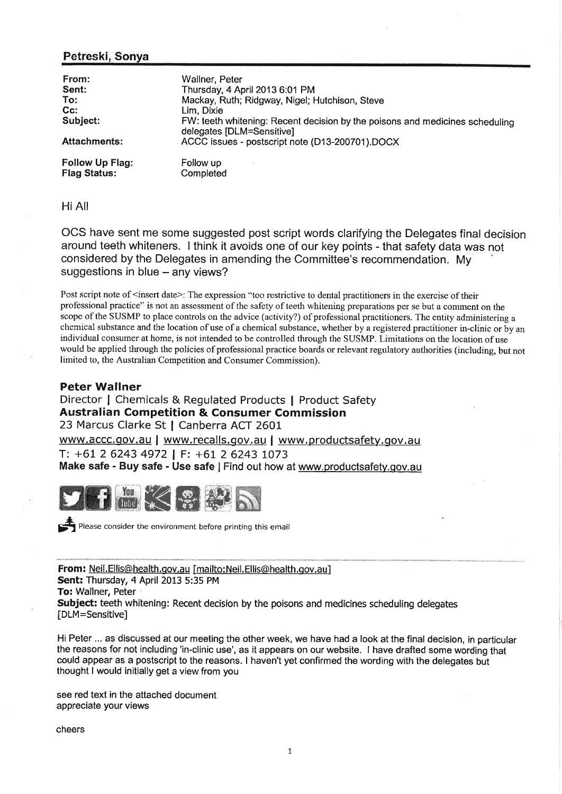## Petreski, Sonya

| From:<br>Sent:                         | Wallner, Peter<br>Thursday, 4 April 2013 6:01 PM                                                          |
|----------------------------------------|-----------------------------------------------------------------------------------------------------------|
| To:                                    | Mackay, Ruth; Ridgway, Nigel; Hutchison, Steve                                                            |
| $Cc$ :                                 | Lim. Dixie                                                                                                |
| Subject:                               | FW: teeth whitening: Recent decision by the poisons and medicines scheduling<br>delegates [DLM=Sensitive] |
| <b>Attachments:</b>                    | ACCC issues - postscript note (D13-200701).DOCX                                                           |
| Follow Up Flag:<br><b>Flag Status:</b> | Follow up<br>Completed                                                                                    |

Hi AII

OCS have sent me some suggested post script words clarifying the Delegates final decision around teeth whiteners. I think it avoids one of our key points - that safety data was not considered by the Delegates in amending the Committee's recommendation. My suggestions in blue  $-$  any views?

Post script note of <insert date>: The expression "too restrictive to dental practitioners in the exercise of their professional practice" is not an assessment of the safety of teeth whitening preparations per se but a comment on the scope of the SUSMP to place controls on the advice (activity?) of professional practitioners. The entity administering <sup>a</sup> chemical substance and the location of use of a chemical substance, whether by a registered practitioner in-clinic or by an individual consumer at home, is not intended to be controlled through the SUSMP. Limitations on the location of use would be applied through the policies of professional practice boards or relevant regulatory authorities (including, but not limited to, the Australian Competition and Consumer Commission).

## Peter Wallner

Director I Chemicals & Regulated Products I Product Safety Australian Competition & Consumer Commission 23 Marcus Clarke St | Canberra ACT 2601 www.accc.gov.au | www.recalls.gov.au | www.productsafety.gov.au T: +61 2 6243 4972 | F: +61 2 6243 L073

Make safe - Buy safe - Use safe | Find out how at www.productsafety.gov.au



Fig. 2. Please consider the environment before printing this email

From: Neil. Ellis@health.gov.au [mailto: Neil. Ellis@health.gov.au] Sent: Thursday, 4 April 2013 5:35 PM To: Wallner, Peter Subject: teeth whitening: Recent decision by the poisons and medicines scheduling delegates [DLM=Sensitive]

Hi Peter ... as discussed at our meeting the other week, we have had a look at the fínal decision, in particular the reasons for not including 'in-clinic use', as it appears on our website. I have drafted some wording that could appear as a postscript to the reasons. I haven't yet confirmed the wording with the delegates but thought I would initially get a view from you

see red text in the attached document appreciate your views

cheers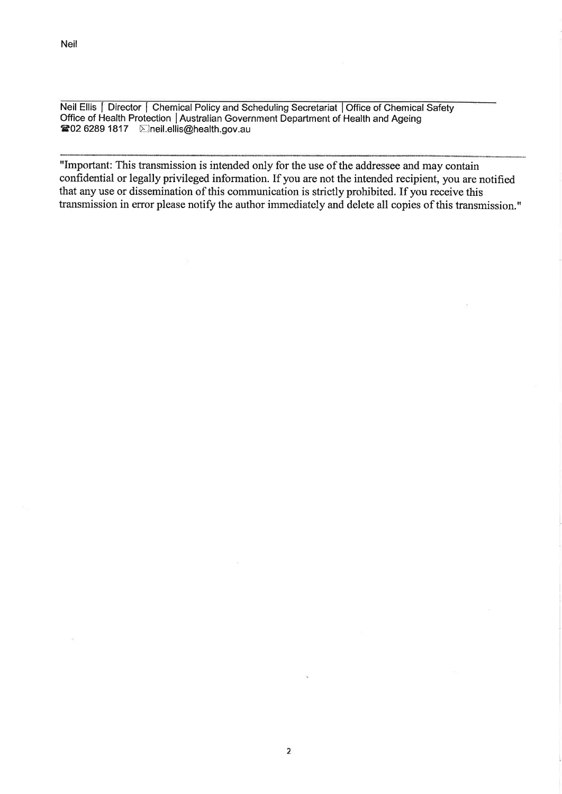Neil Ellis | Director | Chemical Policy and Scheduling Secretariat | Office of Chemical Safety Office of Health Protection | Australian Government Department of Health and Ageing ■02 6289 1817 Eineil.ellis@health.gov.au

"Important: This transmission is intended only for the use of the addressee and may contain confidential or legally privileged information. If you are not the intended recipient, you are notified that any use or dissemination of this communication is strictly prohibited. If you receive this transmission in error please notify the author immediately and delete all copies of this transmission."